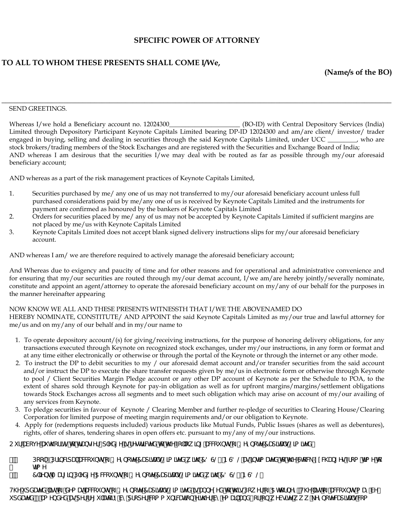### **SPECIFIC POWER OF ATTORNEY**

# **TO ALL TO WHOM THESE PRESENTS SHALL COME I/We,**

**(Name/s of the BO)**

#### \_\_\_\_\_\_\_\_\_\_\_\_\_\_\_\_\_\_\_\_\_\_\_\_\_\_\_\_\_\_\_\_\_\_\_\_\_\_\_\_\_\_\_\_\_\_\_\_\_\_\_\_\_\_\_\_\_\_\_\_\_\_\_\_\_\_\_\_\_\_\_\_\_\_\_\_\_\_\_\_\_\_\_\_\_\_\_\_\_\_\_\_\_\_\_\_\_\_\_\_\_ SEND GREETINGS.

Whereas I/we hold a Beneficiary account no. 12024300\_\_\_\_\_\_\_\_\_\_\_\_\_\_\_\_\_\_\_\_ (BO-ID) with Central Depository Services (India) Limited through Depository Participant Keynote Capitals Limited bearing DP-ID 12024300 and am/are client/ investor/ trader engaged in buying, selling and dealing in securities through the said Keynote Capitals Limited, under UCC \_\_\_\_\_\_\_, who are stock brokers/trading members of the Stock Exchanges and are registered with the Securities and Exchange Board of India; AND whereas I am desirous that the securities I/we may deal with be routed as far as possible through my/our aforesaid beneficiary account;

AND whereas as a part of the risk management practices of Keynote Capitals Limited,

- 1. Securities purchased by me/ any one of us may not transferred to my/our aforesaid beneficiary account unless full purchased considerations paid by me/any one of us is received by Keynote Capitals Limited and the instruments for payment are confirmed as honoured by the bankers of Keynote Capitals Limited
- 2. Orders for securities placed by me/ any of us may not be accepted by Keynote Capitals Limited if sufficient margins are not placed by me/us with Keynote Capitals Limited
- 3. Keynote Capitals Limited does not accept blank signed delivery instructions slips for my/our aforesaid beneficiary account.

AND whereas I am/ we are therefore required to actively manage the aforesaid beneficiary account;

And Whereas due to exigency and paucity of time and for other reasons and for operational and administrative convenience and for ensuring that my/our securities are routed through my/our demat account, I/we am/are hereby jointly/severally nominate, constitute and appoint an agent/attorney to operate the aforesaid beneficiary account on my/any of our behalf for the purposes in the manner hereinafter appearing

# NOW KNOW WE ALL AND THESE PRESENTS WITNESSTH THAT I/WE THE ABOVENAMED DO

HEREBY NOMINATE, CONSTITUTE/ AND APPOINT the said Keynote Capitals Limited as my/our true and lawful attorney for me/us and on my/any of our behalf and in my/our name to

- 1. To operate depository account/(s) for giving/receiving instructions, for the purpose of honoring delivery obligations, for any transactions executed through Keynote on recognized stock exchanges, under my/our instructions, in any form or format and at any time either electronically or otherwise or through the portal of the Keynote or through the internet or any other mode.
- 2. To instruct the DP to debit securities to my / our aforesaid demat account and/or transfer securities from the said account and/or instruct the DP to execute the share transfer requests given by me/us in electronic form or otherwise through Keynote to pool / Client Securities Margin Pledge account or any other DP account of Keynote as per the Schedule to POA, to the extent of shares sold through Keynote for pay-in obligation as well as for upfront margins/margins/settlement obligations towards Stock Exchanges across all segments and to meet such obligation which may arise on account of my/our availing of any services from Keynote.
- 3. To pledge securities in favour of Keynote / Clearing Member and further re-pledge of securities to Clearing House/Clearing Corporation for limited purpose of meeting margin requirements and/or our obligation to Keynote.
- 4. Apply for (redemptions requests included) various products like Mutual Funds, Public Issues (shares as well as debentures), rights, offer of shares, tendering shares in open offers etc. pursuant to my/any of my/our instructions.

# Cif UVcj YU h\cf]lmhchfUbg2nf#d`YX[Y]gfYghf]VMXhch\Y7&``ck]b[UWwibhgcZ?YmbchY7Ud]hUg@]a]hX

- %"Dec`#Df|bV|dU`UWVi blgcZ?YnbchY7Ud||lUg@|a ||tYXk |l\:78G@#BC8@Ug||bl}a UtYXlr l\YGrW9l WUb[YgZca Ha Ylr Ha Y
- &" 7`]YibhA Uf |b D`YX[Y5WWi bligcZ? YinbchY7Ud]|Ug@a |lhXk |h\ 78G@#BG8@"

H\Yi dXUhX``]ghcZXYa UnUMVi bhgcZ? YnbchY7Ud]HJg@|a ]hYX]gUbbYl YX`hc`h\]gDck Yf`cZ5`HrtbYn'iH\Y``]ghcZUMVi bhga UnW idXUhX#Ua YbXYXUgdYffYli `UrfmVmdfcdYfWaaibJWdJcbYJhYfVmYaU`UbX#cfcbkYVglhYkkk"\_YmbchWdJlUgWa